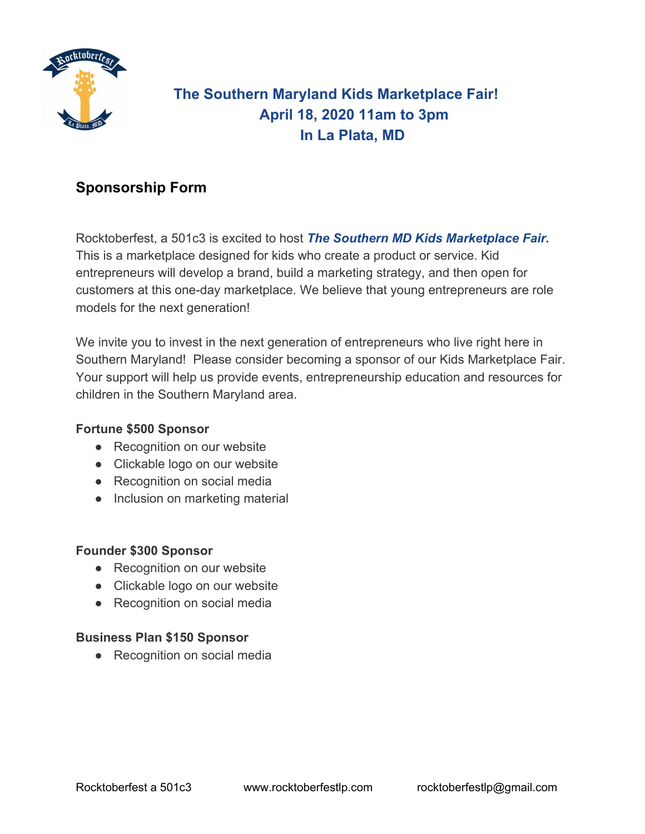

# **The Southern Maryland Kids Marketplace Fair! April 18, 2020 11am to 3pm In La Plata, MD**

## **Sponsorship Form**

Rocktoberfest, a 501c3 is excited to host *The Southern MD Kids Marketplace Fair***.** This is a marketplace designed for kids who create a product or service. Kid entrepreneurs will develop a brand, build a marketing strategy, and then open for customers at this one-day marketplace. We believe that young entrepreneurs are role models for the next generation!

We invite you to invest in the next generation of entrepreneurs who live right here in Southern Maryland! Please consider becoming a sponsor of our Kids Marketplace Fair. Your support will help us provide events, entrepreneurship education and resources for children in the Southern Maryland area.

#### **Fortune \$500 Sponsor**

- Recognition on our website
- Clickable logo on our website
- Recognition on social media
- Inclusion on marketing material

#### **Founder \$300 Sponsor**

- Recognition on our website
- Clickable logo on our website
- Recognition on social media

### **Business Plan \$150 Sponsor**

• Recognition on social media